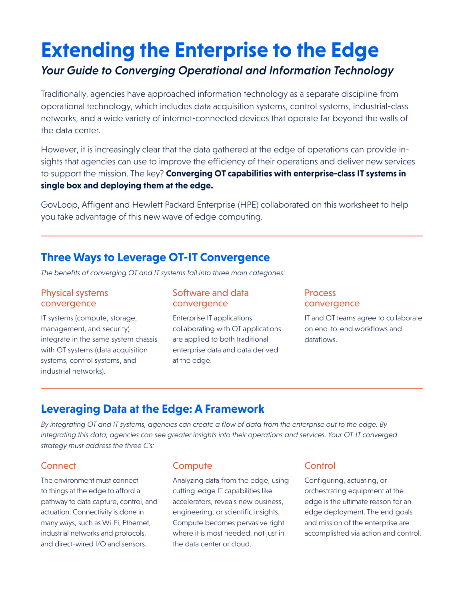# **Extending the Enterprise to the Edge**

# *Your Guide to Converging Operational and Information Technology*

Traditionally, agencies have approached information technology as a separate discipline from operational technology, which includes data acquisition systems, control systems, industrial-class networks, and a wide variety of internet-connected devices that operate far beyond the walls of the data center.

However, it is increasingly clear that the data gathered at the edge of operations can provide insights that agencies can use to improve the efficiency of their operations and deliver new services to support the mission. The key? **Converging OT capabilities with enterprise-class IT systems in single box and deploying them at the edge.** 

GovLoop, Affigent and Hewlett Packard Enterprise (HPE) collaborated on this worksheet to help you take advantage of this new wave of edge computing.

## **Three Ways to Leverage OT-IT Convergence**

*The benefits of converging OT and IT systems fall into three main categories:*

#### Physical systems convergence

IT systems (compute, storage, management, and security) integrate in the same system chassis with OT systems (data acquisition systems, control systems, and industrial networks).

#### Software and data convergence

Enterprise IT applications collaborating with OT applications are applied to both traditional enterprise data and data derived at the edge.

#### Process convergence

IT and OT teams agree to collaborate on end-to-end workflows and dataflows.

# **Leveraging Data at the Edge: A Framework**

*By integrating OT and IT systems, agencies can create a flow of data from the enterprise out to the edge. By integrating this data, agencies can see greater insights into their operations and services. Your OT-IT converged strategy must address the three C's:*

## **Connect**

The environment must connect to things at the edge to afford a pathway to data capture, control, and actuation. Connectivity is done in many ways, such as Wi-Fi, Ethernet, industrial networks and protocols, and direct-wired I/O and sensors.

## **Compute**

Analyzing data from the edge, using cutting-edge IT capabilities like accelerators, reveals new business, engineering, or scientific insights. Compute becomes pervasive right where it is most needed, not just in the data center or cloud.

### **Control**

Configuring, actuating, or orchestrating equipment at the edge is the ultimate reason for an edge deployment. The end goals and mission of the enterprise are accomplished via action and control.